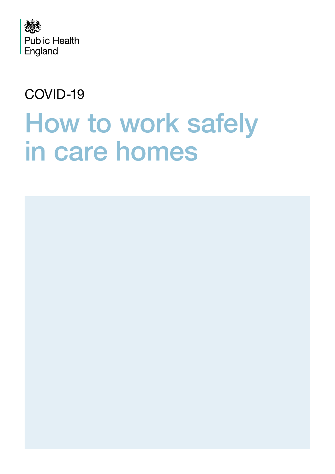

### COVID-19

# How to work safely in care homes

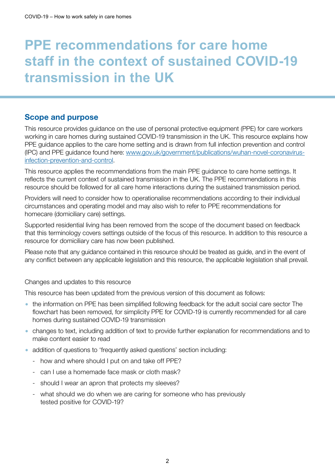## **PPE recommendations for care home staff in the context of sustained COVID-19 transmission in the UK**

#### Scope and purpose

This resource provides guidance on the use of personal protective equipment (PPE) for care workers working in care homes during sustained COVID-19 transmission in the UK. This resource explains how PPE guidance applies to the care home setting and is drawn from full infection prevention and control (IPC) and PPE guidance found here: [www.gov.uk/government/publications/wuhan-novel-coronavirus](http://www.gov.uk/government/publications/wuhan-novel-coronavirus-infection-prevention-and-control.)[infection-prevention-and-control.](http://www.gov.uk/government/publications/wuhan-novel-coronavirus-infection-prevention-and-control.)

This resource applies the recommendations from the main PPE guidance to care home settings. It reflects the current context of sustained transmission in the UK. The PPE recommendations in this resource should be followed for all care home interactions during the sustained transmission period.

Providers will need to consider how to operationalise recommendations according to their individual circumstances and operating model and may also wish to refer to PPE recommendations for homecare (domiciliary care) settings.

Supported residential living has been removed from the scope of the document based on feedback that this terminology covers settings outside of the focus of this resource. In addition to this resource a resource for domiciliary care has now been published.

Please note that any guidance contained in this resource should be treated as guide, and in the event of any conflict between any applicable legislation and this resource, the applicable legislation shall prevail.

Changes and updates to this resource

This resource has been updated from the previous version of this document as follows:

- the information on PPE has been simplified following feedback for the adult social care sector The flowchart has been removed, for simplicity PPE for COVID-19 is currently recommended for all care homes during sustained COVID-19 transmission
- changes to text, including addition of text to provide further explanation for recommendations and to make content easier to read
- addition of questions to 'frequently asked questions' section including:
	- how and where should I put on and take off PPE?
	- can I use a homemade face mask or cloth mask?
	- should I wear an apron that protects my sleeves?
	- what should we do when we are caring for someone who has previously tested positive for COVID-19?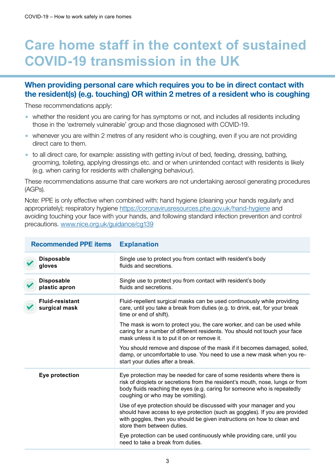## <span id="page-2-0"></span>**Care home staff in the context of sustained COVID-19 transmission in the UK**

#### When providing personal care which requires you to be in direct contact with the resident(s) (e.g. touching) OR within 2 metres of a resident who is coughing

These recommendations apply:

**Recommended PPE items Explanation**

- whether the resident you are caring for has symptoms or not, and includes all residents including those in the 'extremely vulnerable' group and those diagnosed with COVID-19.
- whenever you are within 2 metres of any resident who is coughing, even if you are not providing direct care to them.
- to all direct care, for example: assisting with getting in/out of bed, feeding, dressing, bathing, grooming, toileting, applying dressings etc. and or when unintended contact with residents is likely (e.g. when caring for residents with challenging behaviour).

These recommendations assume that care workers are not undertaking aerosol generating procedures (AGPs).

Note: PPE is only effective when combined with: hand hygiene (cleaning your hands regularly and appropriately); respiratory hygiene <https://coronavirusresources.phe.gov.uk/hand-hygiene> and avoiding touching your face with your hands, and following standard infection prevention and control precautions. [www.nice.org.uk/guidance/cg139](http://www.nice.org.uk/guidance/cg139)

| <b>RECOMMENDED FFE RENS</b>             | EXPIGHALIVII                                                                                                                                                                                                                                                             |
|-----------------------------------------|--------------------------------------------------------------------------------------------------------------------------------------------------------------------------------------------------------------------------------------------------------------------------|
| <b>Disposable</b><br>gloves             | Single use to protect you from contact with resident's body<br>fluids and secretions.                                                                                                                                                                                    |
| <b>Disposable</b><br>plastic apron      | Single use to protect you from contact with resident's body<br>fluids and secretions.                                                                                                                                                                                    |
| <b>Fluid-resistant</b><br>surgical mask | Fluid-repellent surgical masks can be used continuously while providing<br>care, until you take a break from duties (e.g. to drink, eat, for your break<br>time or end of shift).                                                                                        |
|                                         | The mask is worn to protect you, the care worker, and can be used while<br>caring for a number of different residents. You should not touch your face<br>mask unless it is to put it on or remove it.                                                                    |
|                                         | You should remove and dispose of the mask if it becomes damaged, soiled,<br>damp, or uncomfortable to use. You need to use a new mask when you re-<br>start your duties after a break.                                                                                   |
| Eye protection                          | Eye protection may be needed for care of some residents where there is<br>risk of droplets or secretions from the resident's mouth, nose, lungs or from<br>body fluids reaching the eyes (e.g. caring for someone who is repeatedly<br>coughing or who may be vomiting). |
|                                         | Use of eye protection should be discussed with your manager and you<br>should have access to eye protection (such as goggles). If you are provided<br>with goggles, then you should be given instructions on how to clean and<br>store them between duties.              |
|                                         | Eye protection can be used continuously while providing care, until you<br>need to take a break from duties.                                                                                                                                                             |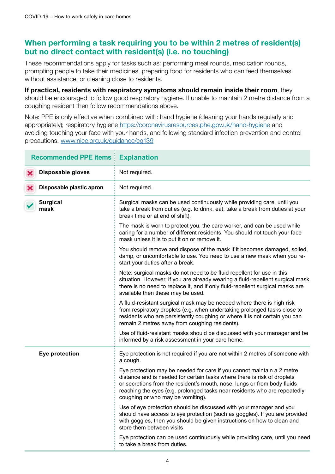#### When performing a task requiring you to be within 2 metres of resident(s) but no direct contact with resident(s) (i.e. no touching)

These recommendations apply for tasks such as: performing meal rounds, medication rounds, prompting people to take their medicines, preparing food for residents who can feed themselves without assistance, or cleaning close to residents.

If practical, residents with respiratory symptoms should remain inside their room, they should be encouraged to follow good respiratory hygiene. If unable to maintain 2 metre distance from a coughing resident then follow recommendations above.

Note: PPE is only effective when combined with: hand hygiene (cleaning your hands regularly and appropriately); respiratory hygiene <https://coronavirusresources.phe.gov.uk/hand-hygiene> and avoiding touching your face with your hands, and following standard infection prevention and control precautions. [www.nice.org.uk/guidance/cg139](http://www.nice.org.uk/guidance/cg139)

| <b>Recommended PPE items</b>  | <b>Explanation</b>                                                                                                                                                                                                                                                                                                                               |
|-------------------------------|--------------------------------------------------------------------------------------------------------------------------------------------------------------------------------------------------------------------------------------------------------------------------------------------------------------------------------------------------|
| Disposable gloves<br>Х        | Not required.                                                                                                                                                                                                                                                                                                                                    |
| Disposable plastic apron<br>Х | Not required.                                                                                                                                                                                                                                                                                                                                    |
| <b>Surgical</b><br>mask       | Surgical masks can be used continuously while providing care, until you<br>take a break from duties (e.g. to drink, eat, take a break from duties at your<br>break time or at end of shift).                                                                                                                                                     |
|                               | The mask is worn to protect you, the care worker, and can be used while<br>caring for a number of different residents. You should not touch your face<br>mask unless it is to put it on or remove it.                                                                                                                                            |
|                               | You should remove and dispose of the mask if it becomes damaged, soiled,<br>damp, or uncomfortable to use. You need to use a new mask when you re-<br>start your duties after a break.                                                                                                                                                           |
|                               | Note: surgical masks do not need to be fluid repellent for use in this<br>situation. However, if you are already wearing a fluid-repellent surgical mask<br>there is no need to replace it, and if only fluid-repellent surgical masks are<br>available then these may be used.                                                                  |
|                               | A fluid-resistant surgical mask may be needed where there is high risk<br>from respiratory droplets (e.g. when undertaking prolonged tasks close to<br>residents who are persistently coughing or where it is not certain you can<br>remain 2 metres away from coughing residents).                                                              |
|                               | Use of fluid-resistant masks should be discussed with your manager and be<br>informed by a risk assessment in your care home.                                                                                                                                                                                                                    |
| Eye protection                | Eye protection is not required if you are not within 2 metres of someone with<br>a cough.                                                                                                                                                                                                                                                        |
|                               | Eye protection may be needed for care if you cannot maintain a 2 metre<br>distance and is needed for certain tasks where there is risk of droplets<br>or secretions from the resident's mouth, nose, lungs or from body fluids<br>reaching the eyes (e.g. prolonged tasks near residents who are repeatedly<br>coughing or who may be vomiting). |
|                               | Use of eye protection should be discussed with your manager and you<br>should have access to eye protection (such as goggles). If you are provided<br>with goggles, then you should be given instructions on how to clean and<br>store them between visits                                                                                       |
|                               | Eye protection can be used continuously while providing care, until you need<br>to take a break from duties.                                                                                                                                                                                                                                     |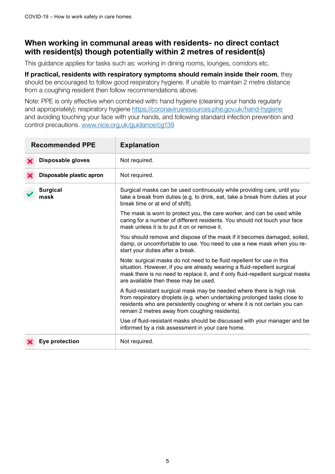#### When working in communal areas with residents- no direct contact with resident(s) though potentially within 2 metres of resident(s)

This guidance applies for tasks such as: working in dining rooms, lounges, corridors etc.

If practical, residents with respiratory symptoms should remain inside their room, they should be encouraged to follow good respiratory hygiene. If unable to maintain 2 metre distance from a coughing resident then follow recommendations above.

Note: PPE is only effective when combined with: hand hygiene (cleaning your hands regularly and appropriately); respiratory hygiene <https://coronavirusresources.phe.gov.uk/hand-hygiene> and avoiding touching your face with your hands, and following standard infection prevention and control precautions. [www.nice.org.uk/guidance/cg139](http://www.nice.org.uk/guidance/cg139)

| <b>Recommended PPE</b>   | <b>Explanation</b>                                                                                                                                                                                                                                                                  |
|--------------------------|-------------------------------------------------------------------------------------------------------------------------------------------------------------------------------------------------------------------------------------------------------------------------------------|
| Disposable gloves        | Not required.                                                                                                                                                                                                                                                                       |
| Disposable plastic apron | Not required.                                                                                                                                                                                                                                                                       |
| <b>Surgical</b><br>mask  | Surgical masks can be used continuously while providing care, until you<br>take a break from duties (e.g. to drink, eat, take a break from duties at your<br>break time or at end of shift).                                                                                        |
|                          | The mask is worn to protect you, the care worker, and can be used while<br>caring for a number of different residents. You should not touch your face<br>mask unless it is to put it on or remove it.                                                                               |
|                          | You should remove and dispose of the mask if it becomes damaged, soiled,<br>damp, or uncomfortable to use. You need to use a new mask when you re-<br>start your duties after a break.                                                                                              |
|                          | Note: surgical masks do not need to be fluid repellent for use in this<br>situation. However, if you are already wearing a fluid-repellent surgical<br>mask there is no need to replace it, and if only fluid-repellent surgical masks<br>are available then these may be used.     |
|                          | A fluid-resistant surgical mask may be needed where there is high risk<br>from respiratory droplets (e.g. when undertaking prolonged tasks close to<br>residents who are persistently coughing or where it is not certain you can<br>remain 2 metres away from coughing residents). |
|                          | Use of fluid-resistant masks should be discussed with your manager and be<br>informed by a risk assessment in your care home.                                                                                                                                                       |
| Eye protection           | Not required.                                                                                                                                                                                                                                                                       |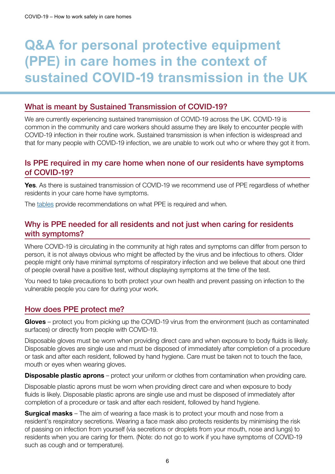# **Q&A for personal protective equipment (PPE) in care homes in the context of sustained COVID-19 transmission in the UK**

#### What is meant by Sustained Transmission of COVID-19?

We are currently experiencing sustained transmission of COVID-19 across the UK. COVID-19 is common in the community and care workers should assume they are likely to encounter people with COVID-19 infection in their routine work. Sustained transmission is when infection is widespread and that for many people with COVID-19 infection, we are unable to work out who or where they got it from.

#### Is PPE required in my care home when none of our residents have symptoms of COVID-19?

**Yes.** As there is sustained transmission of COVID-19 we recommend use of PPE regardless of whether residents in your care home have symptoms.

The [tables](#page-2-0) provide recommendations on what PPE is required and when.

#### Why is PPE needed for all residents and not just when caring for residents with symptoms?

Where COVID-19 is circulating in the community at high rates and symptoms can differ from person to person, it is not always obvious who might be affected by the virus and be infectious to others. Older people might only have minimal symptoms of respiratory infection and we believe that about one third of people overall have a positive test, without displaying symptoms at the time of the test.

You need to take precautions to both protect your own health and prevent passing on infection to the vulnerable people you care for during your work.

#### How does PPE protect me?

Gloves – protect you from picking up the COVID-19 virus from the environment (such as contaminated surfaces) or directly from people with COVID-19.

Disposable gloves must be worn when providing direct care and when exposure to body fluids is likely. Disposable gloves are single use and must be disposed of immediately after completion of a procedure or task and after each resident, followed by hand hygiene. Care must be taken not to touch the face, mouth or eyes when wearing gloves.

**Disposable plastic aprons** – protect your uniform or clothes from contamination when providing care.

Disposable plastic aprons must be worn when providing direct care and when exposure to body fluids is likely. Disposable plastic aprons are single use and must be disposed of immediately after completion of a procedure or task and after each resident, followed by hand hygiene.

**Surgical masks** – The aim of wearing a face mask is to protect your mouth and nose from a resident's respiratory secretions. Wearing a face mask also protects residents by minimising the risk of passing on infection from yourself (via secretions or droplets from your mouth, nose and lungs) to residents when you are caring for them. (Note: do not go to work if you have symptoms of COVID-19 such as cough and or temperature).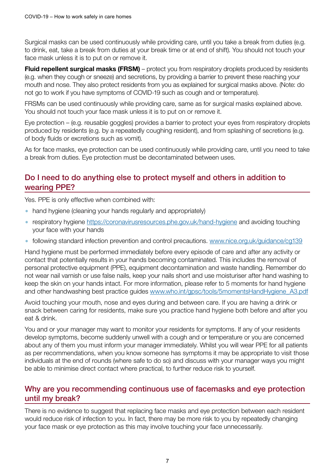Surgical masks can be used continuously while providing care, until you take a break from duties (e.g. to drink, eat, take a break from duties at your break time or at end of shift). You should not touch your face mask unless it is to put on or remove it.

Fluid repellent surgical masks (FRSM) – protect you from respiratory droplets produced by residents (e.g. when they cough or sneeze) and secretions, by providing a barrier to prevent these reaching your mouth and nose. They also protect residents from you as explained for surgical masks above. (Note: do not go to work if you have symptoms of COVID-19 such as cough and or temperature).

FRSMs can be used continuously while providing care, same as for surgical masks explained above. You should not touch your face mask unless it is to put on or remove it.

Eye protection – (e.g. reusable goggles) provides a barrier to protect your eyes from respiratory droplets produced by residents (e.g. by a repeatedly coughing resident), and from splashing of secretions (e.g. of body fluids or excretions such as vomit).

As for face masks, eye protection can be used continuously while providing care, until you need to take a break from duties. Eye protection must be decontaminated between uses.

#### Do I need to do anything else to protect myself and others in addition to wearing PPE?

Yes. PPE is only effective when combined with:

- hand hygiene (cleaning your hands regularly and appropriately)
- respiratory hygiene<https://coronavirusresources.phe.gov.uk/hand-hygiene>and avoiding touching your face with your hands
- following standard infection prevention and control precautions. [www.nice.org.uk/guidance/cg139](http://www.nice.org.uk/guidance/cg139)

Hand hygiene must be performed immediately before every episode of care and after any activity or contact that potentially results in your hands becoming contaminated. This includes the removal of personal protective equipment (PPE), equipment decontamination and waste handling. Remember do not wear nail varnish or use false nails, keep your nails short and use moisturiser after hand washing to keep the skin on your hands intact. For more information, please refer to 5 moments for hand hygiene and other handwashing best practice guides [www.who.int/gpsc/tools/5momentsHandHygiene\\_A3.pdf](www.who.int/gpsc/tools/5momentsHandHygiene_A3.pdf)

Avoid touching your mouth, nose and eyes during and between care. If you are having a drink or snack between caring for residents, make sure you practice hand hygiene both before and after you eat & drink.

You and or your manager may want to monitor your residents for symptoms. If any of your residents develop symptoms, become suddenly unwell with a cough and or temperature or you are concerned about any of them you must inform your manager immediately. Whilst you will wear PPE for all patients as per recommendations, when you know someone has symptoms it may be appropriate to visit those individuals at the end of rounds (where safe to do so) and discuss with your manager ways you might be able to minimise direct contact where practical, to further reduce risk to yourself.

#### Why are you recommending continuous use of facemasks and eye protection until my break?

There is no evidence to suggest that replacing face masks and eye protection between each resident would reduce risk of infection to you. In fact, there may be more risk to you by repeatedly changing your face mask or eye protection as this may involve touching your face unnecessarily.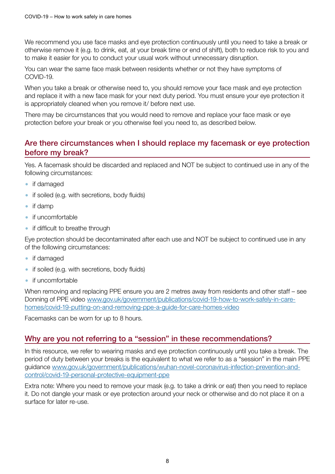We recommend you use face masks and eye protection continuously until you need to take a break or otherwise remove it (e.g. to drink, eat, at your break time or end of shift), both to reduce risk to you and to make it easier for you to conduct your usual work without unnecessary disruption.

You can wear the same face mask between residents whether or not they have symptoms of COVID-19.

When you take a break or otherwise need to, you should remove your face mask and eye protection and replace it with a new face mask for your next duty period. You must ensure your eye protection it is appropriately cleaned when you remove it/ before next use.

There may be circumstances that you would need to remove and replace your face mask or eye protection before your break or you otherwise feel you need to, as described below.

#### Are there circumstances when I should replace my facemask or eye protection before my break?

Yes. A facemask should be discarded and replaced and NOT be subject to continued use in any of the following circumstances:

- if damaged
- if soiled (e.g. with secretions, body fluids)
- if damp
- if uncomfortable
- if difficult to breathe through

Eye protection should be decontaminated after each use and NOT be subject to continued use in any of the following circumstances:

- if damaged
- if soiled (e.g. with secretions, body fluids)
- if uncomfortable

When removing and replacing PPE ensure you are 2 metres away from residents and other staff – see Donning of PPE video [www.gov.uk/government/publications/covid-19-how-to-work-safely-in-care](http://www.gov.uk/government/publications/covid-19-how-to-work-safely-in-care-homes/covid-19-putting-on-and-removing-ppe-a-guide-for-care-homes-video)[homes/covid-19-putting-on-and-removing-ppe-a-guide-for-care-homes-video](http://www.gov.uk/government/publications/covid-19-how-to-work-safely-in-care-homes/covid-19-putting-on-and-removing-ppe-a-guide-for-care-homes-video)

Facemasks can be worn for up to 8 hours.

#### Why are you not referring to a "session" in these recommendations?

In this resource, we refer to wearing masks and eye protection continuously until you take a break. The period of duty between your breaks is the equivalent to what we refer to as a "session" in the main PPE guidance [www.gov.uk/government/publications/wuhan-novel-coronavirus-infection-prevention-and](https://www.gov.uk/government/publications/wuhan-novel-coronavirus-infection-prevention-and-control/covid-19-personal-protective-equipment-ppe)[control/covid-19-personal-protective-equipment-ppe](https://www.gov.uk/government/publications/wuhan-novel-coronavirus-infection-prevention-and-control/covid-19-personal-protective-equipment-ppe)

Extra note: Where you need to remove your mask (e.g. to take a drink or eat) then you need to replace it. Do not dangle your mask or eye protection around your neck or otherwise and do not place it on a surface for later re-use.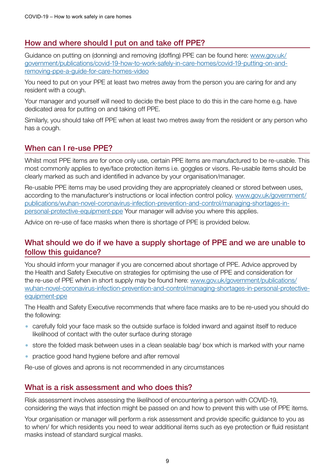#### How and where should I put on and take off PPE?

Guidance on putting on (donning) and removing (doffing) PPE can be found here: [www.gov.uk/](http://www.gov.uk/government/publications/covid-19-how-to-work-safely-in-care-homes/covid-19-putting-on-and-removing-ppe-a-guide-for-care-homes-video) [government/publications/covid-19-how-to-work-safely-in-care-homes/covid-19-putting-on-and](http://www.gov.uk/government/publications/covid-19-how-to-work-safely-in-care-homes/covid-19-putting-on-and-removing-ppe-a-guide-for-care-homes-video)[removing-ppe-a-guide-for-care-homes-video](http://www.gov.uk/government/publications/covid-19-how-to-work-safely-in-care-homes/covid-19-putting-on-and-removing-ppe-a-guide-for-care-homes-video)

You need to put on your PPE at least two metres away from the person you are caring for and any resident with a cough.

Your manager and yourself will need to decide the best place to do this in the care home e.g. have dedicated area for putting on and taking off PPE.

Similarly, you should take off PPE when at least two metres away from the resident or any person who has a cough.

#### When can I re-use PPE?

Whilst most PPE items are for once only use, certain PPE items are manufactured to be re-usable. This most commonly applies to eye/face protection items i.e. goggles or visors. Re-usable items should be clearly marked as such and identified in advance by your organisation/manager.

Re-usable PPE items may be used providing they are appropriately cleaned or stored between uses, according to the manufacturer's instructions or local infection control policy. [www.gov.uk/government/](http://www.gov.uk/government/publications/wuhan-novel-coronavirus-infection-prevention-and-control/managing-shortages-in-personal-protective-equipment-ppe) [publications/wuhan-novel-coronavirus-infection-prevention-and-control/managing-shortages-in](http://www.gov.uk/government/publications/wuhan-novel-coronavirus-infection-prevention-and-control/managing-shortages-in-personal-protective-equipment-ppe)[personal-protective-equipment-ppe](http://www.gov.uk/government/publications/wuhan-novel-coronavirus-infection-prevention-and-control/managing-shortages-in-personal-protective-equipment-ppe) Your manager will advise you where this applies.

Advice on re-use of face masks when there is shortage of PPE is provided below.

#### What should we do if we have a supply shortage of PPE and we are unable to follow this guidance?

You should inform your manager if you are concerned about shortage of PPE. Advice approved by the Health and Safety Executive on strategies for optimising the use of PPE and consideration for the re-use of PPE when in short supply may be found here: [www.gov.uk/government/publications/](http://www.gov.uk/government/publications/wuhan-novel-coronavirus-infection-prevention-and-control/managing-shortages-in-personal-protective-equipment-ppe) [wuhan-novel-coronavirus-infection-prevention-and-control/managing-shortages-in-personal-protective](http://www.gov.uk/government/publications/wuhan-novel-coronavirus-infection-prevention-and-control/managing-shortages-in-personal-protective-equipment-ppe)[equipment-ppe](http://www.gov.uk/government/publications/wuhan-novel-coronavirus-infection-prevention-and-control/managing-shortages-in-personal-protective-equipment-ppe)

The Health and Safety Executive recommends that where face masks are to be re-used you should do the following:

- carefully fold your face mask so the outside surface is folded inward and against itself to reduce likelihood of contact with the outer surface during storage
- store the folded mask between uses in a clean sealable bag/ box which is marked with your name
- practice good hand hygiene before and after removal

Re-use of gloves and aprons is not recommended in any circumstances

#### What is a risk assessment and who does this?

Risk assessment involves assessing the likelihood of encountering a person with COVID-19, considering the ways that infection might be passed on and how to prevent this with use of PPE items.

Your organisation or manager will perform a risk assessment and provide specific guidance to you as to when/ for which residents you need to wear additional items such as eye protection or fluid resistant masks instead of standard surgical masks.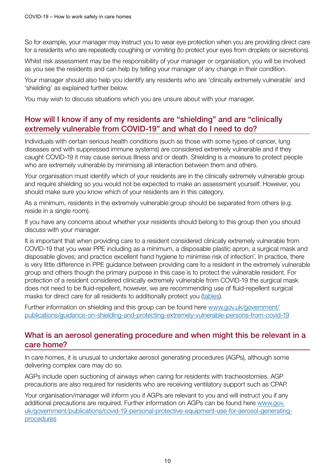So for example, your manager may instruct you to wear eye protection when you are providing direct care for a residents who are repeatedly coughing or vomiting (to protect your eyes from droplets or secretions).

Whilst risk assessment may be the responsibility of your manager or organisation, you will be involved as you see the residents and can help by telling your manager of any change in their condition.

Your manager should also help you identify any residents who are 'clinically extremely vulnerable' and 'shielding' as explained further below.

You may wish to discuss situations which you are unsure about with your manager.

#### How will I know if any of my residents are "shielding" and are "clinically extremely vulnerable from COVID-19" and what do I need to do?

Individuals with certain serious health conditions (such as those with some types of cancer, lung diseases and with suppressed immune systems) are considered extremely vulnerable and if they caught COVID-19 it may cause serious illness and or death. Shielding is a measure to protect people who are extremely vulnerable by minimising all interaction between them and others.

Your organisation must identify which of your residents are in the clinically extremely vulnerable group and require shielding so you would not be expected to make an assessment yourself. However, you should make sure you know which of your residents are in this category.

As a minimum, residents in the extremely vulnerable group should be separated from others (e.g. reside in a single room).

If you have any concerns about whether your residents should belong to this group then you should discuss with your manager.

It is important that when providing care to a resident considered clinically extremely vulnerable from COVID-19 that you wear PPE including as a minimum, a disposable plastic apron, a surgical mask and disposable gloves; and practice excellent hand hygiene to minimise risk of infection'. In practice, there is very little difference in PPE guidance between providing care to a resident in the extremely vulnerable group and others though the primary purpose in this case is to protect the vulnerable resident. For protection of a resident considered clinically extremely vulnerable from COVID-19 the surgical mask does not need to be fluid-repellent, however, we are recommending use of fluid-repellent surgical masks for direct care for all residents to additionally protect you ([tables](#page-2-0)).

Further information on shielding and this group can be found here [www.gov.uk/government/](http://www.gov.uk/government/publications/guidance-on-shielding-and-protecting-extremely-vulnerable-persons-from-covid-19) [publications/guidance-on-shielding-and-protecting-extremely-vulnerable-persons-from-covid-19](http://www.gov.uk/government/publications/guidance-on-shielding-and-protecting-extremely-vulnerable-persons-from-covid-19)

#### What is an aerosol generating procedure and when might this be relevant in a care home?

In care homes, it is unusual to undertake aerosol generating procedures (AGPs), although some delivering complex care may do so.

AGPs include open suctioning of airways when caring for residents with tracheostomies. AGP precautions are also required for residents who are receiving ventilatory support such as CPAP.

Your organisation/manager will inform you if AGPs are relevant to you and will instruct you if any additional precautions are required. Further information on AGPs can be found here [www.gov.](http://www.gov.uk/government/publications/covid-19-personal-protective-equipment-use-for-aerosol-generating-procedures) [uk/government/publications/covid-19-personal-protective-equipment-use-for-aerosol-generating](http://www.gov.uk/government/publications/covid-19-personal-protective-equipment-use-for-aerosol-generating-procedures)[procedures](http://www.gov.uk/government/publications/covid-19-personal-protective-equipment-use-for-aerosol-generating-procedures)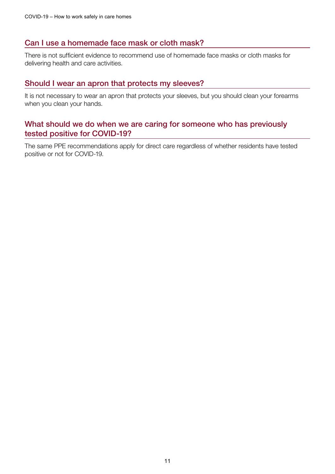#### Can I use a homemade face mask or cloth mask?

There is not sufficient evidence to recommend use of homemade face masks or cloth masks for delivering health and care activities.

#### Should I wear an apron that protects my sleeves?

It is not necessary to wear an apron that protects your sleeves, but you should clean your forearms when you clean your hands.

#### What should we do when we are caring for someone who has previously tested positive for COVID-19?

The same PPE recommendations apply for direct care regardless of whether residents have tested positive or not for COVID-19.